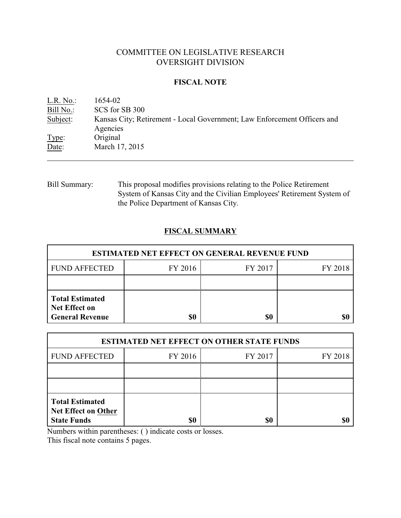# COMMITTEE ON LEGISLATIVE RESEARCH OVERSIGHT DIVISION

## **FISCAL NOTE**

| L.R. No.  | 1654-02                                                                              |
|-----------|--------------------------------------------------------------------------------------|
| Bill No.: | SCS for SB 300                                                                       |
| Subject:  | Kansas City; Retirement - Local Government; Law Enforcement Officers and<br>Agencies |
| Type:     | Original                                                                             |
| Date:     | March 17, 2015                                                                       |

Bill Summary: This proposal modifies provisions relating to the Police Retirement System of Kansas City and the Civilian Employees' Retirement System of the Police Department of Kansas City.

## **FISCAL SUMMARY**

| <b>ESTIMATED NET EFFECT ON GENERAL REVENUE FUND</b>                      |         |         |         |  |
|--------------------------------------------------------------------------|---------|---------|---------|--|
| <b>FUND AFFECTED</b>                                                     | FY 2016 | FY 2017 | FY 2018 |  |
|                                                                          |         |         |         |  |
| <b>Total Estimated</b><br><b>Net Effect on</b><br><b>General Revenue</b> | \$0     | \$0     |         |  |

| <b>ESTIMATED NET EFFECT ON OTHER STATE FUNDS</b>                           |         |         |         |  |
|----------------------------------------------------------------------------|---------|---------|---------|--|
| <b>FUND AFFECTED</b>                                                       | FY 2016 | FY 2017 | FY 2018 |  |
|                                                                            |         |         |         |  |
|                                                                            |         |         |         |  |
| <b>Total Estimated</b><br><b>Net Effect on Other</b><br><b>State Funds</b> | \$0     | \$0     |         |  |

Numbers within parentheses: ( ) indicate costs or losses.

This fiscal note contains 5 pages.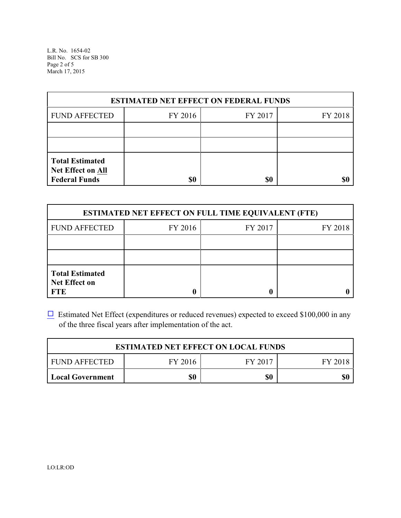L.R. No. 1654-02 Bill No. SCS for SB 300 Page 2 of 5 March 17, 2015

| <b>ESTIMATED NET EFFECT ON FEDERAL FUNDS</b>                        |         |         |         |  |
|---------------------------------------------------------------------|---------|---------|---------|--|
| <b>FUND AFFECTED</b>                                                | FY 2016 | FY 2017 | FY 2018 |  |
|                                                                     |         |         |         |  |
|                                                                     |         |         |         |  |
| <b>Total Estimated</b><br>Net Effect on All<br><b>Federal Funds</b> | \$0     | \$0     |         |  |

| <b>ESTIMATED NET EFFECT ON FULL TIME EQUIVALENT (FTE)</b>    |         |         |         |  |
|--------------------------------------------------------------|---------|---------|---------|--|
| <b>FUND AFFECTED</b>                                         | FY 2016 | FY 2017 | FY 2018 |  |
|                                                              |         |         |         |  |
|                                                              |         |         |         |  |
| <b>Total Estimated</b><br><b>Net Effect on</b><br><b>FTE</b> |         |         |         |  |

 $\Box$  Estimated Net Effect (expenditures or reduced revenues) expected to exceed \$100,000 in any of the three fiscal years after implementation of the act.

| <b>ESTIMATED NET EFFECT ON LOCAL FUNDS</b> |         |         |         |
|--------------------------------------------|---------|---------|---------|
| <b>FUND AFFECTED</b>                       | FY 2016 | FY 2017 | FY 2018 |
| Local Government                           | \$0     | \$0     | \$0     |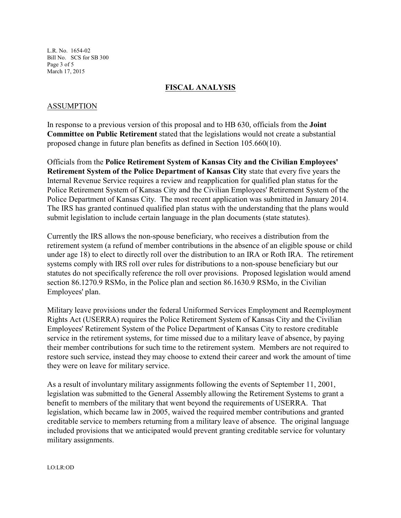L.R. No. 1654-02 Bill No. SCS for SB 300 Page 3 of 5 March 17, 2015

## **FISCAL ANALYSIS**

## ASSUMPTION

In response to a previous version of this proposal and to HB 630, officials from the **Joint Committee on Public Retirement** stated that the legislations would not create a substantial proposed change in future plan benefits as defined in Section 105.660(10).

Officials from the **Police Retirement System of Kansas City and the Civilian Employees' Retirement System of the Police Department of Kansas City** state that every five years the Internal Revenue Service requires a review and reapplication for qualified plan status for the Police Retirement System of Kansas City and the Civilian Employees' Retirement System of the Police Department of Kansas City. The most recent application was submitted in January 2014. The IRS has granted continued qualified plan status with the understanding that the plans would submit legislation to include certain language in the plan documents (state statutes).

Currently the IRS allows the non-spouse beneficiary, who receives a distribution from the retirement system (a refund of member contributions in the absence of an eligible spouse or child under age 18) to elect to directly roll over the distribution to an IRA or Roth IRA. The retirement systems comply with IRS roll over rules for distributions to a non-spouse beneficiary but our statutes do not specifically reference the roll over provisions. Proposed legislation would amend section 86.1270.9 RSMo, in the Police plan and section 86.1630.9 RSMo, in the Civilian Employees' plan.

Military leave provisions under the federal Uniformed Services Employment and Reemployment Rights Act (USERRA) requires the Police Retirement System of Kansas City and the Civilian Employees' Retirement System of the Police Department of Kansas City to restore creditable service in the retirement systems, for time missed due to a military leave of absence, by paying their member contributions for such time to the retirement system. Members are not required to restore such service, instead they may choose to extend their career and work the amount of time they were on leave for military service.

As a result of involuntary military assignments following the events of September 11, 2001, legislation was submitted to the General Assembly allowing the Retirement Systems to grant a benefit to members of the military that went beyond the requirements of USERRA. That legislation, which became law in 2005, waived the required member contributions and granted creditable service to members returning from a military leave of absence. The original language included provisions that we anticipated would prevent granting creditable service for voluntary military assignments.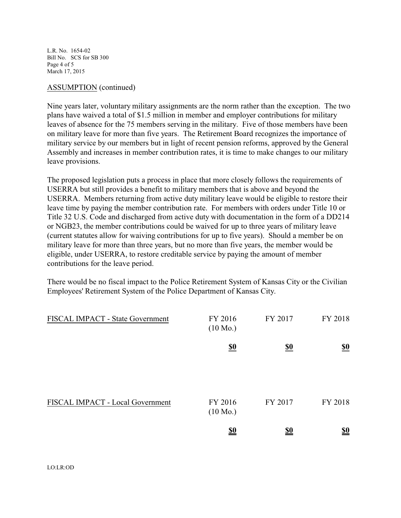L.R. No. 1654-02 Bill No. SCS for SB 300 Page 4 of 5 March 17, 2015

#### ASSUMPTION (continued)

Nine years later, voluntary military assignments are the norm rather than the exception. The two plans have waived a total of \$1.5 million in member and employer contributions for military leaves of absence for the 75 members serving in the military. Five of those members have been on military leave for more than five years. The Retirement Board recognizes the importance of military service by our members but in light of recent pension reforms, approved by the General Assembly and increases in member contribution rates, it is time to make changes to our military leave provisions.

The proposed legislation puts a process in place that more closely follows the requirements of USERRA but still provides a benefit to military members that is above and beyond the USERRA. Members returning from active duty military leave would be eligible to restore their leave time by paying the member contribution rate. For members with orders under Title 10 or Title 32 U.S. Code and discharged from active duty with documentation in the form of a DD214 or NGB23, the member contributions could be waived for up to three years of military leave (current statutes allow for waiving contributions for up to five years). Should a member be on military leave for more than three years, but no more than five years, the member would be eligible, under USERRA, to restore creditable service by paying the amount of member contributions for the leave period.

There would be no fiscal impact to the Police Retirement System of Kansas City or the Civilian Employees' Retirement System of the Police Department of Kansas City.

| FISCAL IMPACT - State Government | FY 2016<br>$(10 \text{ Mo.})$ | FY 2017                       | FY 2018                       |
|----------------------------------|-------------------------------|-------------------------------|-------------------------------|
|                                  | $\underline{\underline{\$0}}$ | $\underline{\underline{\$0}}$ | $\underline{\underline{\$0}}$ |
| FISCAL IMPACT - Local Government | FY 2016<br>$(10 \text{ Mo.})$ | FY 2017                       | FY 2018                       |
|                                  | $\underline{\underline{\$0}}$ | <u>\$0</u>                    | $\underline{\underline{\$0}}$ |